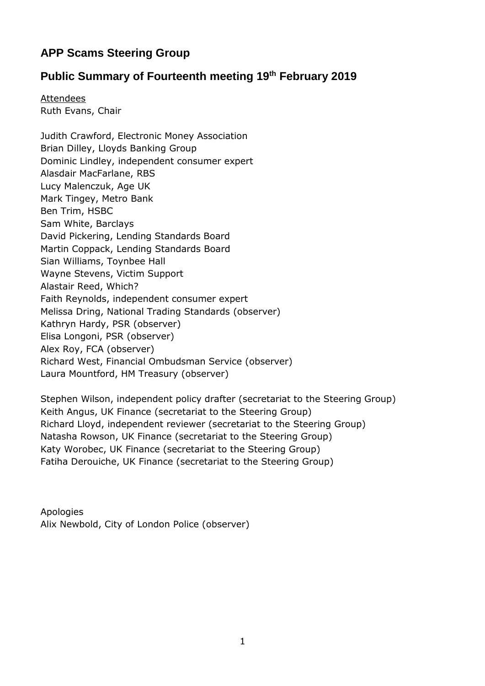# **APP Scams Steering Group**

## **Public Summary of Fourteenth meeting 19th February 2019**

**Attendees** Ruth Evans, Chair

Judith Crawford, Electronic Money Association Brian Dilley, Lloyds Banking Group Dominic Lindley, independent consumer expert Alasdair MacFarlane, RBS Lucy Malenczuk, Age UK Mark Tingey, Metro Bank Ben Trim, HSBC Sam White, Barclays David Pickering, Lending Standards Board Martin Coppack, Lending Standards Board Sian Williams, Toynbee Hall Wayne Stevens, Victim Support Alastair Reed, Which? Faith Reynolds, independent consumer expert Melissa Dring, National Trading Standards (observer) Kathryn Hardy, PSR (observer) Elisa Longoni, PSR (observer) Alex Roy, FCA (observer) Richard West, Financial Ombudsman Service (observer) Laura Mountford, HM Treasury (observer)

Stephen Wilson, independent policy drafter (secretariat to the Steering Group) Keith Angus, UK Finance (secretariat to the Steering Group) Richard Lloyd, independent reviewer (secretariat to the Steering Group) Natasha Rowson, UK Finance (secretariat to the Steering Group) Katy Worobec, UK Finance (secretariat to the Steering Group) Fatiha Derouiche, UK Finance (secretariat to the Steering Group)

Apologies Alix Newbold, City of London Police (observer)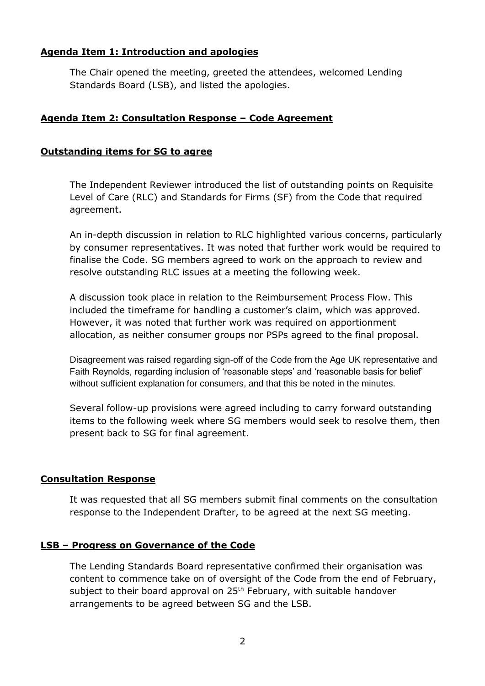## **Agenda Item 1: Introduction and apologies**

The Chair opened the meeting, greeted the attendees, welcomed Lending Standards Board (LSB), and listed the apologies.

## **Agenda Item 2: Consultation Response – Code Agreement**

## **Outstanding items for SG to agree**

The Independent Reviewer introduced the list of outstanding points on Requisite Level of Care (RLC) and Standards for Firms (SF) from the Code that required agreement.

An in-depth discussion in relation to RLC highlighted various concerns, particularly by consumer representatives. It was noted that further work would be required to finalise the Code. SG members agreed to work on the approach to review and resolve outstanding RLC issues at a meeting the following week.

A discussion took place in relation to the Reimbursement Process Flow. This included the timeframe for handling a customer's claim, which was approved. However, it was noted that further work was required on apportionment allocation, as neither consumer groups nor PSPs agreed to the final proposal.

Disagreement was raised regarding sign-off of the Code from the Age UK representative and Faith Reynolds, regarding inclusion of 'reasonable steps' and 'reasonable basis for belief' without sufficient explanation for consumers, and that this be noted in the minutes.

Several follow-up provisions were agreed including to carry forward outstanding items to the following week where SG members would seek to resolve them, then present back to SG for final agreement.

## **Consultation Response**

It was requested that all SG members submit final comments on the consultation response to the Independent Drafter, to be agreed at the next SG meeting.

## **LSB – Progress on Governance of the Code**

The Lending Standards Board representative confirmed their organisation was content to commence take on of oversight of the Code from the end of February, subject to their board approval on 25<sup>th</sup> February, with suitable handover arrangements to be agreed between SG and the LSB.